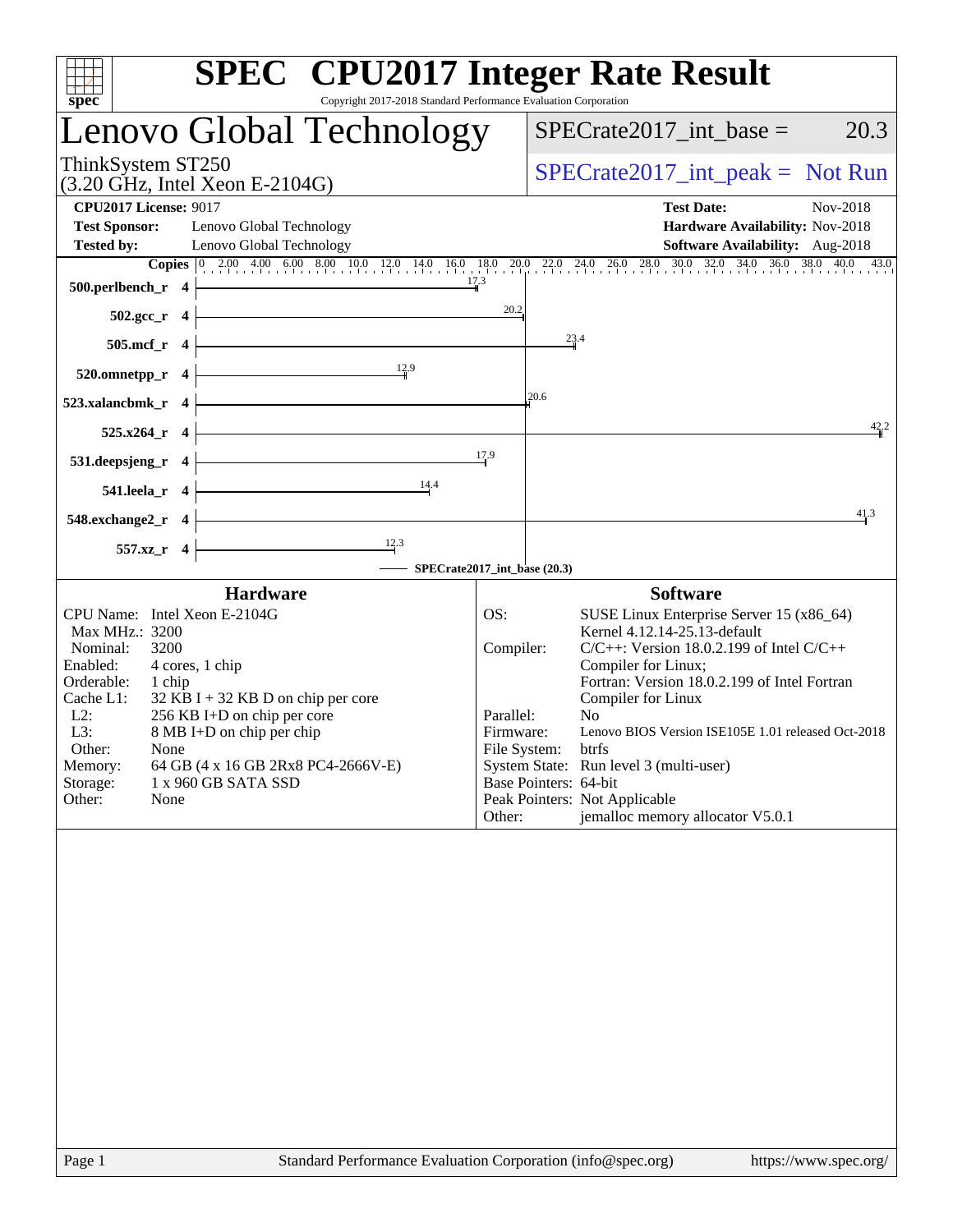| <b>SPEC<sup>®</sup></b> CPU2017 Integer Rate Result<br>Copyright 2017-2018 Standard Performance Evaluation Corporation<br>spec                                                                                                                                                                                                                                                                         |                                                                      |                                     |                                                                                                                                                                                                                                                                                                                                                                                                                                                        |  |  |  |
|--------------------------------------------------------------------------------------------------------------------------------------------------------------------------------------------------------------------------------------------------------------------------------------------------------------------------------------------------------------------------------------------------------|----------------------------------------------------------------------|-------------------------------------|--------------------------------------------------------------------------------------------------------------------------------------------------------------------------------------------------------------------------------------------------------------------------------------------------------------------------------------------------------------------------------------------------------------------------------------------------------|--|--|--|
| Lenovo Global Technology                                                                                                                                                                                                                                                                                                                                                                               |                                                                      | 20.3<br>$SPECrate2017\_int\_base =$ |                                                                                                                                                                                                                                                                                                                                                                                                                                                        |  |  |  |
| ThinkSystem ST250<br>$(3.20 \text{ GHz}, \text{Intel Xeon E-2104G})$                                                                                                                                                                                                                                                                                                                                   | $SPECrate2017\_int\_peak = Not Run$                                  |                                     |                                                                                                                                                                                                                                                                                                                                                                                                                                                        |  |  |  |
| <b>CPU2017 License: 9017</b><br><b>Test Sponsor:</b><br>Lenovo Global Technology<br><b>Tested by:</b><br>Lenovo Global Technology                                                                                                                                                                                                                                                                      |                                                                      |                                     | <b>Test Date:</b><br>Nov-2018<br>Hardware Availability: Nov-2018<br>Software Availability: Aug-2018                                                                                                                                                                                                                                                                                                                                                    |  |  |  |
| Copies $\begin{bmatrix} 0 & 2.00 & 4.00 & 6.00 & 8.00 & 10.0 & 12.0 & 14.0 & 16.0 & 18.0 & 20.0 & 22.0 & 24.0 & 26.0 & 28.0 & 30.0 & 32.0 & 34.0 & 36.0 & 38.0 & 40.0 & 43.0 \\ \hline \end{bmatrix}$<br>500.perlbench_r<br>$\overline{\mathbf{4}}$<br>$502.\text{gcc}_r$ 4                                                                                                                            | 20.2                                                                 |                                     |                                                                                                                                                                                                                                                                                                                                                                                                                                                        |  |  |  |
| <u> 1980 - Johann Barn, mars an t-Amerikaansk kommunister (</u><br>505.mcf_r 4                                                                                                                                                                                                                                                                                                                         |                                                                      | 23.4                                |                                                                                                                                                                                                                                                                                                                                                                                                                                                        |  |  |  |
| $\frac{12.9}{4}$<br>520.omnetpp_r 4<br>523.xalancbmk_r 4                                                                                                                                                                                                                                                                                                                                               |                                                                      | 20.6                                |                                                                                                                                                                                                                                                                                                                                                                                                                                                        |  |  |  |
| <u> 1989 - Johann Barbara, martxa a</u><br>$525.x264_r$ 4<br><u> 1989 - Johann Barbara, martxa alemaniar a</u><br>$531.$ deepsjeng_r 4                                                                                                                                                                                                                                                                 | 17.9                                                                 |                                     | 42.2                                                                                                                                                                                                                                                                                                                                                                                                                                                   |  |  |  |
| $\overline{\phantom{a}14.4}$<br>$541.$ leela_r $4$<br>$548$ .exchange2_r 4                                                                                                                                                                                                                                                                                                                             |                                                                      |                                     | 41.3                                                                                                                                                                                                                                                                                                                                                                                                                                                   |  |  |  |
| $\frac{12.3}{1}$<br>557.xz_r 4<br>SPECrate2017_int_base (20.3)                                                                                                                                                                                                                                                                                                                                         |                                                                      |                                     |                                                                                                                                                                                                                                                                                                                                                                                                                                                        |  |  |  |
| <b>Hardware</b><br>CPU Name: Intel Xeon E-2104G<br>Max MHz.: 3200<br>Nominal:<br>3200<br>Enabled:<br>4 cores, 1 chip<br>Orderable:<br>1 chip<br>Cache L1:<br>$32$ KB I + 32 KB D on chip per core<br>$L2$ :<br>256 KB I+D on chip per core<br>L3:<br>8 MB I+D on chip per chip<br>Other:<br>None<br>Memory:<br>64 GB (4 x 16 GB 2Rx8 PC4-2666V-E)<br>Storage:<br>1 x 960 GB SATA SSD<br>Other:<br>None | OS:<br>Compiler:<br>Parallel:<br>Firmware:<br>File System:<br>Other: |                                     | <b>Software</b><br>SUSE Linux Enterprise Server 15 (x86_64)<br>Kernel 4.12.14-25.13-default<br>$C/C++$ : Version 18.0.2.199 of Intel $C/C++$<br>Compiler for Linux;<br>Fortran: Version 18.0.2.199 of Intel Fortran<br>Compiler for Linux<br>No<br>Lenovo BIOS Version ISE105E 1.01 released Oct-2018<br>btrfs<br>System State: Run level 3 (multi-user)<br>Base Pointers: 64-bit<br>Peak Pointers: Not Applicable<br>jemalloc memory allocator V5.0.1 |  |  |  |
|                                                                                                                                                                                                                                                                                                                                                                                                        |                                                                      |                                     |                                                                                                                                                                                                                                                                                                                                                                                                                                                        |  |  |  |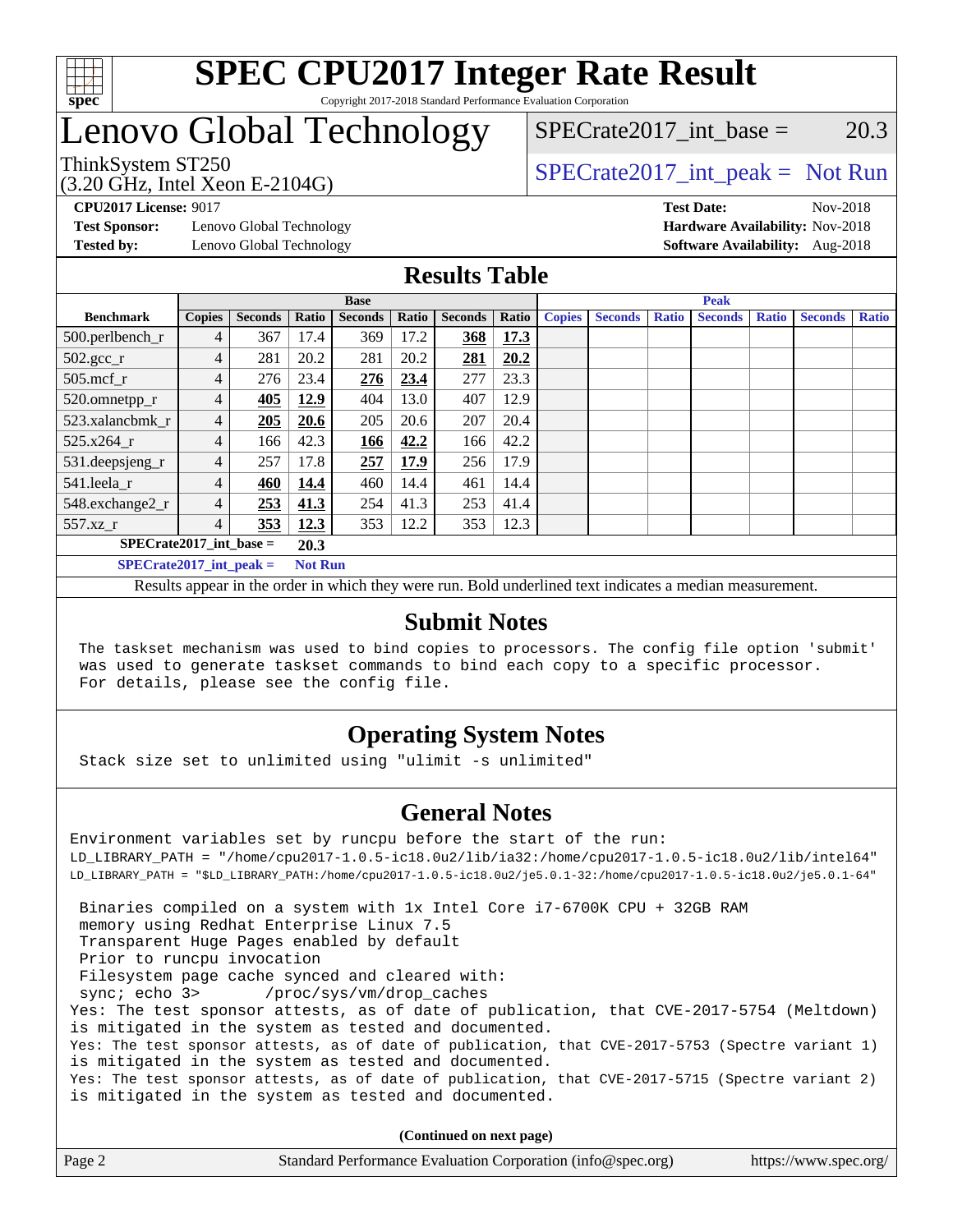

## Lenovo Global Technology

# $SPECTate2017\_int\_base = 20.3$

(3.20 GHz, Intel Xeon E-2104G)

ThinkSystem ST250  $SPECrate2017$ \_int\_peak = Not Run

**[Test Sponsor:](http://www.spec.org/auto/cpu2017/Docs/result-fields.html#TestSponsor)** Lenovo Global Technology **[Hardware Availability:](http://www.spec.org/auto/cpu2017/Docs/result-fields.html#HardwareAvailability)** Nov-2018 **[Tested by:](http://www.spec.org/auto/cpu2017/Docs/result-fields.html#Testedby)** Lenovo Global Technology **[Software Availability:](http://www.spec.org/auto/cpu2017/Docs/result-fields.html#SoftwareAvailability)** Aug-2018

**[CPU2017 License:](http://www.spec.org/auto/cpu2017/Docs/result-fields.html#CPU2017License)** 9017 **[Test Date:](http://www.spec.org/auto/cpu2017/Docs/result-fields.html#TestDate)** Nov-2018

#### **[Results Table](http://www.spec.org/auto/cpu2017/Docs/result-fields.html#ResultsTable)**

|                           | <b>Base</b>   |                |                |                | <b>Peak</b> |                |       |               |                |              |                |              |                |              |
|---------------------------|---------------|----------------|----------------|----------------|-------------|----------------|-------|---------------|----------------|--------------|----------------|--------------|----------------|--------------|
| <b>Benchmark</b>          | <b>Copies</b> | <b>Seconds</b> | Ratio          | <b>Seconds</b> | Ratio       | <b>Seconds</b> | Ratio | <b>Copies</b> | <b>Seconds</b> | <b>Ratio</b> | <b>Seconds</b> | <b>Ratio</b> | <b>Seconds</b> | <b>Ratio</b> |
| 500.perlbench_r           | 4             | 367            | 17.4           | 369            | 17.2        | 368            | 17.3  |               |                |              |                |              |                |              |
| $502.\text{gcc}$ _r       | 4             | 281            | 20.2           | 281            | 20.2        | 281            | 20.2  |               |                |              |                |              |                |              |
| $505$ .mcf r              | 4             | 276            | 23.4           | 276            | 23.4        | 277            | 23.3  |               |                |              |                |              |                |              |
| 520.omnetpp_r             | 4             | 405            | 12.9           | 404            | 13.0        | 407            | 12.9  |               |                |              |                |              |                |              |
| 523.xalancbmk_r           | 4             | 205            | 20.6           | 205            | 20.6        | 207            | 20.4  |               |                |              |                |              |                |              |
| 525.x264 r                | 4             | 166            | 42.3           | 166            | 42.2        | 166            | 42.2  |               |                |              |                |              |                |              |
| 531.deepsjeng_r           | 4             | 257            | 17.8           | 257            | 17.9        | 256            | 17.9  |               |                |              |                |              |                |              |
| 541.leela r               | 4             | 460            | 14.4           | 460            | 14.4        | 461            | 14.4  |               |                |              |                |              |                |              |
| 548.exchange2_r           | 4             | 253            | 41.3           | 254            | 41.3        | 253            | 41.4  |               |                |              |                |              |                |              |
| 557.xz r                  | 4             | 353            | 12.3           | 353            | 12.2        | 353            | 12.3  |               |                |              |                |              |                |              |
| $SPECrate2017$ int base = |               |                | 20.3           |                |             |                |       |               |                |              |                |              |                |              |
| $SPECrate2017$ int peak = |               |                | <b>Not Run</b> |                |             |                |       |               |                |              |                |              |                |              |

Results appear in the [order in which they were run](http://www.spec.org/auto/cpu2017/Docs/result-fields.html#RunOrder). Bold underlined text [indicates a median measurement](http://www.spec.org/auto/cpu2017/Docs/result-fields.html#Median).

#### **[Submit Notes](http://www.spec.org/auto/cpu2017/Docs/result-fields.html#SubmitNotes)**

 The taskset mechanism was used to bind copies to processors. The config file option 'submit' was used to generate taskset commands to bind each copy to a specific processor. For details, please see the config file.

### **[Operating System Notes](http://www.spec.org/auto/cpu2017/Docs/result-fields.html#OperatingSystemNotes)**

Stack size set to unlimited using "ulimit -s unlimited"

#### **[General Notes](http://www.spec.org/auto/cpu2017/Docs/result-fields.html#GeneralNotes)**

Environment variables set by runcpu before the start of the run: LD\_LIBRARY\_PATH = "/home/cpu2017-1.0.5-ic18.0u2/lib/ia32:/home/cpu2017-1.0.5-ic18.0u2/lib/intel64" LD\_LIBRARY\_PATH = "\$LD\_LIBRARY\_PATH:/home/cpu2017-1.0.5-ic18.0u2/je5.0.1-32:/home/cpu2017-1.0.5-ic18.0u2/je5.0.1-64" Binaries compiled on a system with 1x Intel Core i7-6700K CPU + 32GB RAM memory using Redhat Enterprise Linux 7.5 Transparent Huge Pages enabled by default Prior to runcpu invocation Filesystem page cache synced and cleared with: sync; echo 3> /proc/sys/vm/drop\_caches Yes: The test sponsor attests, as of date of publication, that CVE-2017-5754 (Meltdown) is mitigated in the system as tested and documented. Yes: The test sponsor attests, as of date of publication, that CVE-2017-5753 (Spectre variant 1) is mitigated in the system as tested and documented. Yes: The test sponsor attests, as of date of publication, that CVE-2017-5715 (Spectre variant 2) is mitigated in the system as tested and documented.

**(Continued on next page)**

| Page 2 | Standard Performance Evaluation Corporation (info@spec.org) | https://www.spec.org/ |
|--------|-------------------------------------------------------------|-----------------------|
|        |                                                             |                       |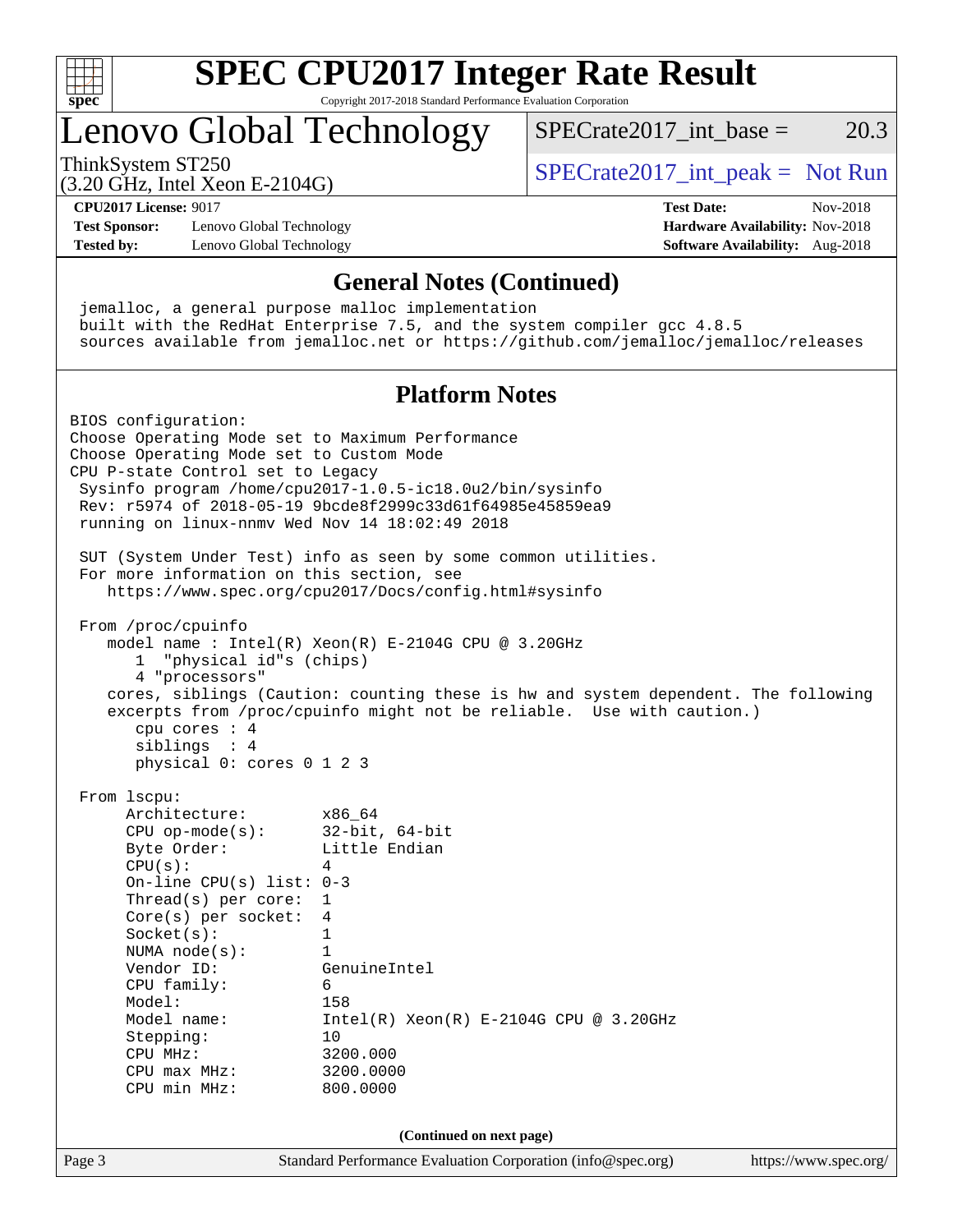

# **[SPEC CPU2017 Integer Rate Result](http://www.spec.org/auto/cpu2017/Docs/result-fields.html#SPECCPU2017IntegerRateResult)**

Copyright 2017-2018 Standard Performance Evaluation Corporation

## Lenovo Global Technology

ThinkSystem ST250  $SPECrate2017$ \_int\_peak = Not Run

SPECrate2017 int\_base =  $20.3$ 

(3.20 GHz, Intel Xeon E-2104G) **[CPU2017 License:](http://www.spec.org/auto/cpu2017/Docs/result-fields.html#CPU2017License)** 9017 **[Test Date:](http://www.spec.org/auto/cpu2017/Docs/result-fields.html#TestDate)** Nov-2018

**[Test Sponsor:](http://www.spec.org/auto/cpu2017/Docs/result-fields.html#TestSponsor)** Lenovo Global Technology **[Hardware Availability:](http://www.spec.org/auto/cpu2017/Docs/result-fields.html#HardwareAvailability)** Nov-2018 **[Tested by:](http://www.spec.org/auto/cpu2017/Docs/result-fields.html#Testedby)** Lenovo Global Technology **[Software Availability:](http://www.spec.org/auto/cpu2017/Docs/result-fields.html#SoftwareAvailability)** Aug-2018

#### **[General Notes \(Continued\)](http://www.spec.org/auto/cpu2017/Docs/result-fields.html#GeneralNotes)**

 jemalloc, a general purpose malloc implementation built with the RedHat Enterprise 7.5, and the system compiler gcc 4.8.5 sources available from jemalloc.net or <https://github.com/jemalloc/jemalloc/releases>

#### **[Platform Notes](http://www.spec.org/auto/cpu2017/Docs/result-fields.html#PlatformNotes)**

Page 3 Standard Performance Evaluation Corporation [\(info@spec.org\)](mailto:info@spec.org) <https://www.spec.org/> BIOS configuration: Choose Operating Mode set to Maximum Performance Choose Operating Mode set to Custom Mode CPU P-state Control set to Legacy Sysinfo program /home/cpu2017-1.0.5-ic18.0u2/bin/sysinfo Rev: r5974 of 2018-05-19 9bcde8f2999c33d61f64985e45859ea9 running on linux-nnmv Wed Nov 14 18:02:49 2018 SUT (System Under Test) info as seen by some common utilities. For more information on this section, see <https://www.spec.org/cpu2017/Docs/config.html#sysinfo> From /proc/cpuinfo model name : Intel $(R)$  Xeon $(R)$  E-2104G CPU @ 3.20GHz 1 "physical id"s (chips) 4 "processors" cores, siblings (Caution: counting these is hw and system dependent. The following excerpts from /proc/cpuinfo might not be reliable. Use with caution.) cpu cores : 4 siblings : 4 physical 0: cores 0 1 2 3 From lscpu: Architecture: x86\_64 CPU op-mode(s): 32-bit, 64-bit Byte Order: Little Endian  $CPU(s):$  4 On-line CPU(s) list: 0-3 Thread(s) per core: 1 Core(s) per socket: 4 Socket(s): 1 NUMA node(s): 1 Vendor ID: GenuineIntel CPU family: 6 Model: 158<br>Model name: 1158  $Intel(R)$  Xeon $(R)$  E-2104G CPU @ 3.20GHz Stepping: 10 CPU MHz: 3200.000 CPU max MHz: 3200.0000 CPU min MHz: 800.0000 **(Continued on next page)**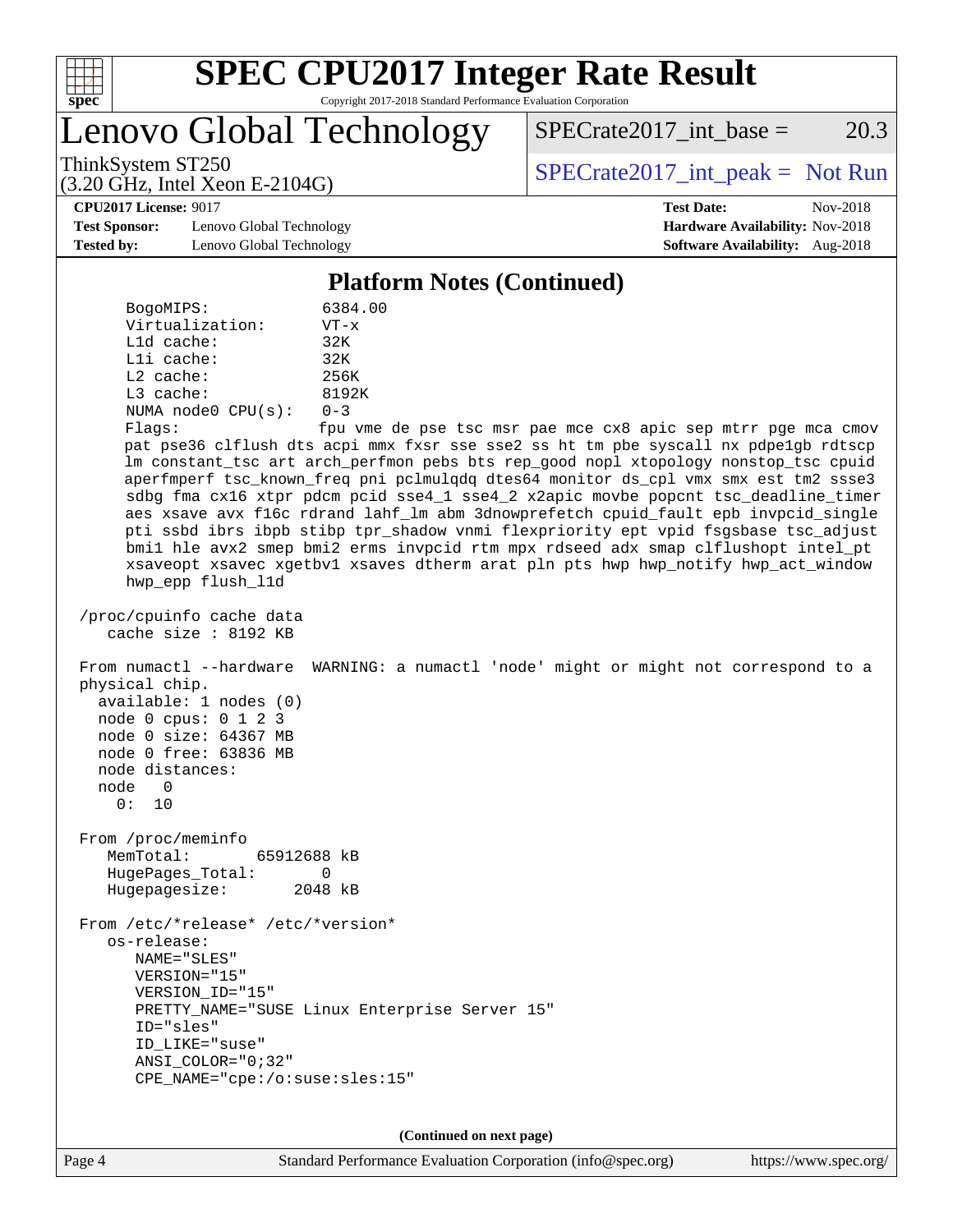

# **[SPEC CPU2017 Integer Rate Result](http://www.spec.org/auto/cpu2017/Docs/result-fields.html#SPECCPU2017IntegerRateResult)**

Copyright 2017-2018 Standard Performance Evaluation Corporation

Lenovo Global Technology

 $SPECTate2017\_int\_base = 20.3$ 

(3.20 GHz, Intel Xeon E-2104G)

ThinkSystem ST250  $SPECrate2017$ \_int\_peak = Not Run

**[CPU2017 License:](http://www.spec.org/auto/cpu2017/Docs/result-fields.html#CPU2017License)** 9017 **[Test Date:](http://www.spec.org/auto/cpu2017/Docs/result-fields.html#TestDate)** Nov-2018

**[Test Sponsor:](http://www.spec.org/auto/cpu2017/Docs/result-fields.html#TestSponsor)** Lenovo Global Technology **[Hardware Availability:](http://www.spec.org/auto/cpu2017/Docs/result-fields.html#HardwareAvailability)** Nov-2018 **[Tested by:](http://www.spec.org/auto/cpu2017/Docs/result-fields.html#Testedby)** Lenovo Global Technology **[Software Availability:](http://www.spec.org/auto/cpu2017/Docs/result-fields.html#SoftwareAvailability)** Aug-2018

**[Platform Notes \(Continued\)](http://www.spec.org/auto/cpu2017/Docs/result-fields.html#PlatformNotes)**

 BogoMIPS: 6384.00 Virtualization: VT-x L1d cache: 32K L1i cache: 32K L2 cache: 256K L3 cache: 8192K NUMA node0 CPU(s): 0-3

Flags: fpu vme de pse tsc msr pae mce cx8 apic sep mtrr pge mca cmov pat pse36 clflush dts acpi mmx fxsr sse sse2 ss ht tm pbe syscall nx pdpe1gb rdtscp lm constant\_tsc art arch\_perfmon pebs bts rep\_good nopl xtopology nonstop\_tsc cpuid aperfmperf tsc\_known\_freq pni pclmulqdq dtes64 monitor ds\_cpl vmx smx est tm2 ssse3 sdbg fma cx16 xtpr pdcm pcid sse4\_1 sse4\_2 x2apic movbe popcnt tsc\_deadline\_timer aes xsave avx f16c rdrand lahf\_lm abm 3dnowprefetch cpuid\_fault epb invpcid\_single pti ssbd ibrs ibpb stibp tpr\_shadow vnmi flexpriority ept vpid fsgsbase tsc\_adjust bmi1 hle avx2 smep bmi2 erms invpcid rtm mpx rdseed adx smap clflushopt intel\_pt xsaveopt xsavec xgetbv1 xsaves dtherm arat pln pts hwp hwp\_notify hwp\_act\_window hwp\_epp flush\_l1d

 /proc/cpuinfo cache data cache size : 8192 KB

 From numactl --hardware WARNING: a numactl 'node' might or might not correspond to a physical chip. available: 1 nodes (0) node 0 cpus: 0 1 2 3 node 0 size: 64367 MB node 0 free: 63836 MB

 node distances: node 0

0: 10

 From /proc/meminfo MemTotal: 65912688 kB HugePages\_Total: 0 Hugepagesize: 2048 kB

 From /etc/\*release\* /etc/\*version\* os-release: NAME="SLES" VERSION="15" VERSION\_ID="15" PRETTY NAME="SUSE Linux Enterprise Server 15" ID="sles" ID\_LIKE="suse" ANSI\_COLOR="0;32" CPE\_NAME="cpe:/o:suse:sles:15"

**(Continued on next page)**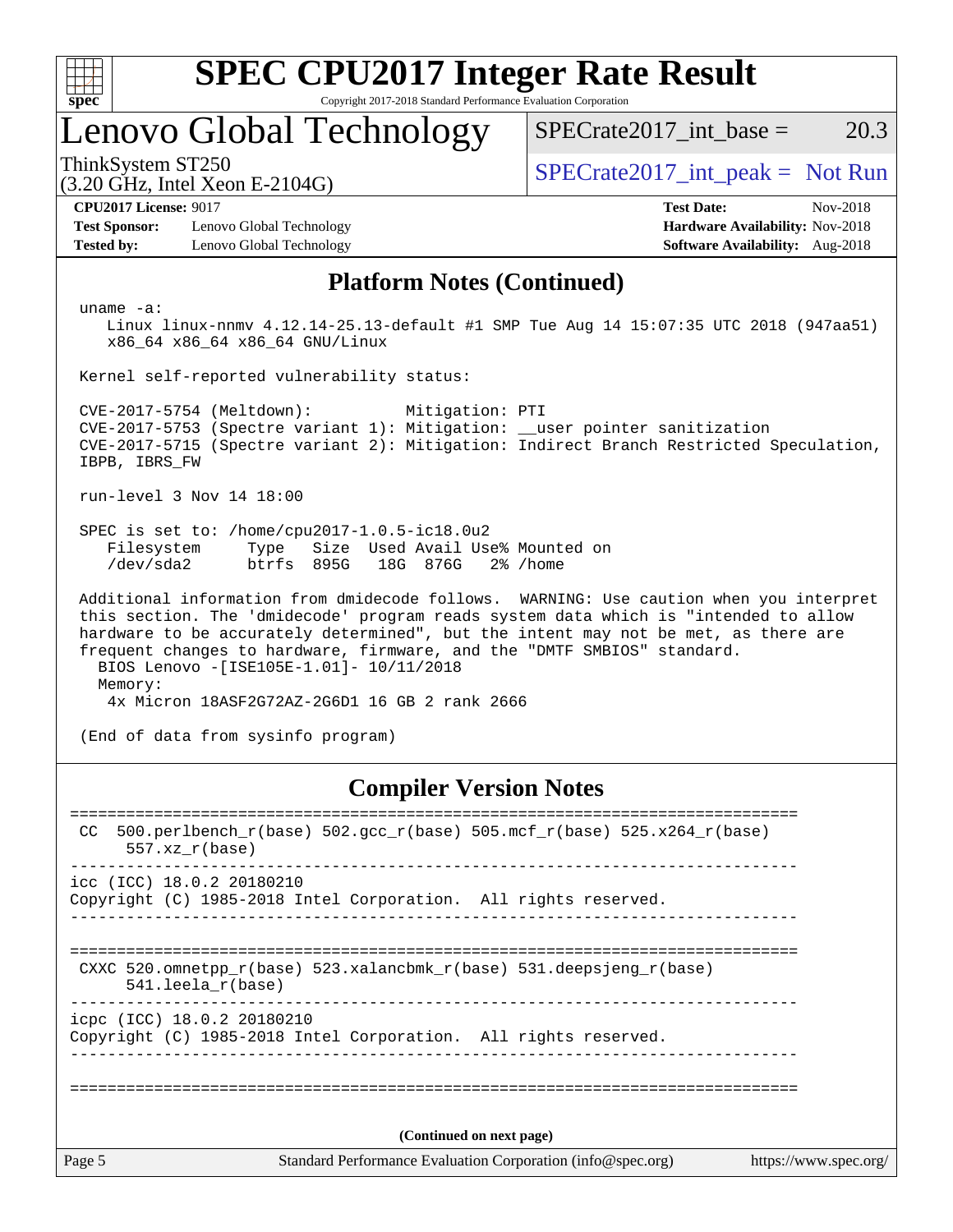| c<br>ŧ<br>ı |  |  |  |  |  |  |  |  |
|-------------|--|--|--|--|--|--|--|--|

## Lenovo Global Technology

ThinkSystem ST250  $SPECrate2017$ \_int\_peak = Not Run

(3.20 GHz, Intel Xeon E-2104G)

 $SPECTate2017\_int\_base = 20.3$ 

**[Test Sponsor:](http://www.spec.org/auto/cpu2017/Docs/result-fields.html#TestSponsor)** Lenovo Global Technology **[Hardware Availability:](http://www.spec.org/auto/cpu2017/Docs/result-fields.html#HardwareAvailability)** Nov-2018 **[Tested by:](http://www.spec.org/auto/cpu2017/Docs/result-fields.html#Testedby)** Lenovo Global Technology **[Software Availability:](http://www.spec.org/auto/cpu2017/Docs/result-fields.html#SoftwareAvailability)** Aug-2018

**[CPU2017 License:](http://www.spec.org/auto/cpu2017/Docs/result-fields.html#CPU2017License)** 9017 **[Test Date:](http://www.spec.org/auto/cpu2017/Docs/result-fields.html#TestDate)** Nov-2018

#### **[Platform Notes \(Continued\)](http://www.spec.org/auto/cpu2017/Docs/result-fields.html#PlatformNotes)**

uname -a:

 Linux linux-nnmv 4.12.14-25.13-default #1 SMP Tue Aug 14 15:07:35 UTC 2018 (947aa51) x86\_64 x86\_64 x86\_64 GNU/Linux

Kernel self-reported vulnerability status:

 CVE-2017-5754 (Meltdown): Mitigation: PTI CVE-2017-5753 (Spectre variant 1): Mitigation: \_\_user pointer sanitization CVE-2017-5715 (Spectre variant 2): Mitigation: Indirect Branch Restricted Speculation, IBPB, IBRS\_FW

run-level 3 Nov 14 18:00

 SPEC is set to: /home/cpu2017-1.0.5-ic18.0u2 Filesystem Type Size Used Avail Use% Mounted on /dev/sda2 btrfs 895G 18G 876G 2% /home

 Additional information from dmidecode follows. WARNING: Use caution when you interpret this section. The 'dmidecode' program reads system data which is "intended to allow hardware to be accurately determined", but the intent may not be met, as there are frequent changes to hardware, firmware, and the "DMTF SMBIOS" standard. BIOS Lenovo -[ISE105E-1.01]- 10/11/2018 Memory: 4x Micron 18ASF2G72AZ-2G6D1 16 GB 2 rank 2666

(End of data from sysinfo program)

### **[Compiler Version Notes](http://www.spec.org/auto/cpu2017/Docs/result-fields.html#CompilerVersionNotes)**

Page 5 Standard Performance Evaluation Corporation [\(info@spec.org\)](mailto:info@spec.org) <https://www.spec.org/> ============================================================================== CC 500.perlbench\_r(base)  $502.\text{gcc\_r}$ (base)  $505.\text{mcf\_r}$ (base)  $525.\text{x}$ 264\_r(base) 557.xz\_r(base) ----------------------------------------------------------------------------- icc (ICC) 18.0.2 20180210 Copyright (C) 1985-2018 Intel Corporation. All rights reserved. ------------------------------------------------------------------------------ ============================================================================== CXXC 520.omnetpp\_r(base) 523.xalancbmk\_r(base) 531.deepsjeng\_r(base) 541.leela\_r(base) ----------------------------------------------------------------------------- icpc (ICC) 18.0.2 20180210 Copyright (C) 1985-2018 Intel Corporation. All rights reserved. ------------------------------------------------------------------------------ ============================================================================== **(Continued on next page)**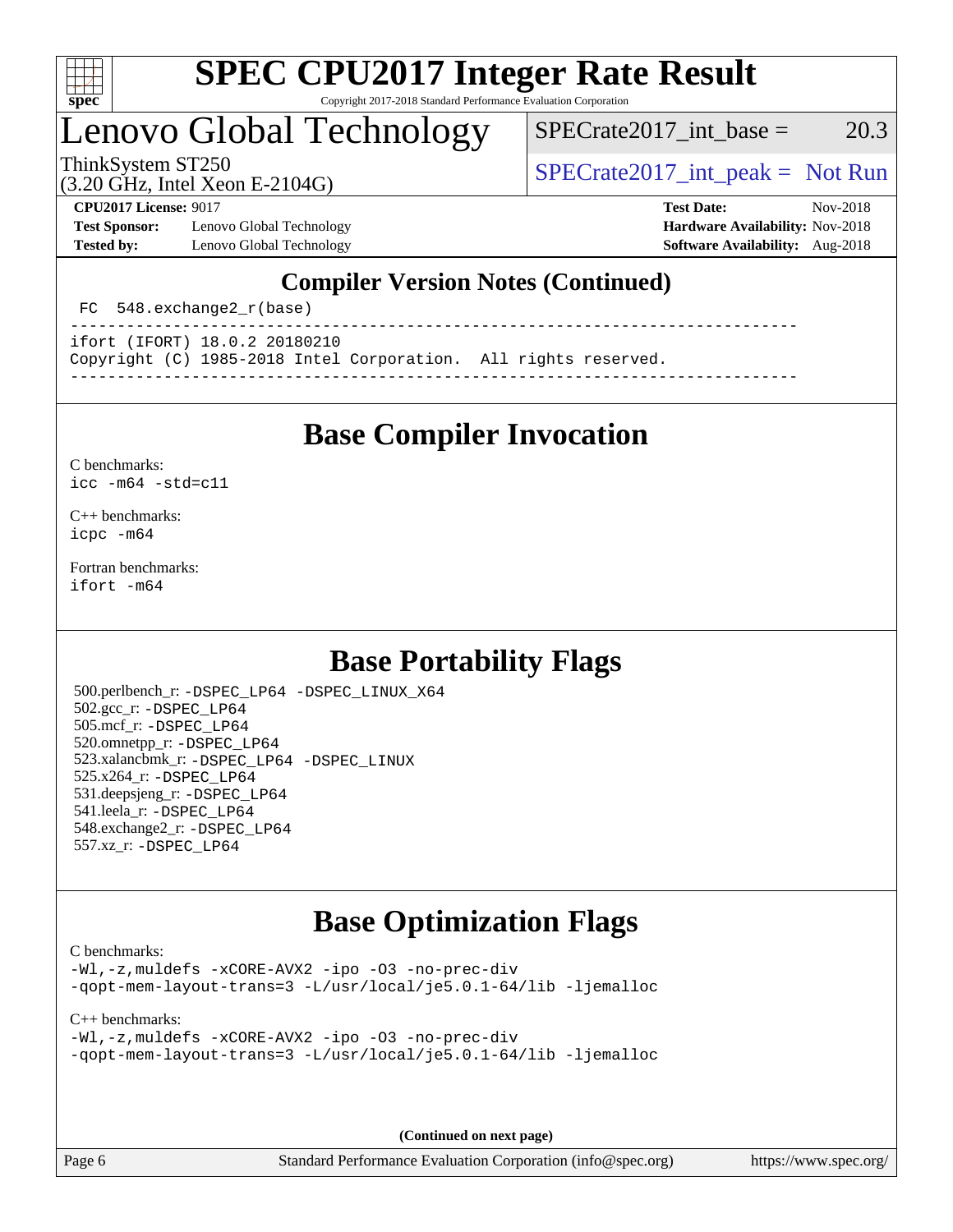

## Lenovo Global Technology

 $SPECTate2017$ \_int\_base = 20.3

(3.20 GHz, Intel Xeon E-2104G)

ThinkSystem ST250  $SPECrate2017$ \_int\_peak = Not Run

**[Test Sponsor:](http://www.spec.org/auto/cpu2017/Docs/result-fields.html#TestSponsor)** Lenovo Global Technology **[Hardware Availability:](http://www.spec.org/auto/cpu2017/Docs/result-fields.html#HardwareAvailability)** Nov-2018 **[Tested by:](http://www.spec.org/auto/cpu2017/Docs/result-fields.html#Testedby)** Lenovo Global Technology **[Software Availability:](http://www.spec.org/auto/cpu2017/Docs/result-fields.html#SoftwareAvailability)** Aug-2018

**[CPU2017 License:](http://www.spec.org/auto/cpu2017/Docs/result-fields.html#CPU2017License)** 9017 **[Test Date:](http://www.spec.org/auto/cpu2017/Docs/result-fields.html#TestDate)** Nov-2018

### **[Compiler Version Notes \(Continued\)](http://www.spec.org/auto/cpu2017/Docs/result-fields.html#CompilerVersionNotes)**

FC 548.exchange2  $r(base)$ 

----------------------------------------------------------------------------- ifort (IFORT) 18.0.2 20180210

Copyright (C) 1985-2018 Intel Corporation. All rights reserved.

**[Base Compiler Invocation](http://www.spec.org/auto/cpu2017/Docs/result-fields.html#BaseCompilerInvocation)**

------------------------------------------------------------------------------

[C benchmarks](http://www.spec.org/auto/cpu2017/Docs/result-fields.html#Cbenchmarks): [icc -m64 -std=c11](http://www.spec.org/cpu2017/results/res2018q4/cpu2017-20181126-09893.flags.html#user_CCbase_intel_icc_64bit_c11_33ee0cdaae7deeeab2a9725423ba97205ce30f63b9926c2519791662299b76a0318f32ddfffdc46587804de3178b4f9328c46fa7c2b0cd779d7a61945c91cd35)

[C++ benchmarks:](http://www.spec.org/auto/cpu2017/Docs/result-fields.html#CXXbenchmarks) [icpc -m64](http://www.spec.org/cpu2017/results/res2018q4/cpu2017-20181126-09893.flags.html#user_CXXbase_intel_icpc_64bit_4ecb2543ae3f1412ef961e0650ca070fec7b7afdcd6ed48761b84423119d1bf6bdf5cad15b44d48e7256388bc77273b966e5eb805aefd121eb22e9299b2ec9d9)

[Fortran benchmarks](http://www.spec.org/auto/cpu2017/Docs/result-fields.html#Fortranbenchmarks): [ifort -m64](http://www.spec.org/cpu2017/results/res2018q4/cpu2017-20181126-09893.flags.html#user_FCbase_intel_ifort_64bit_24f2bb282fbaeffd6157abe4f878425411749daecae9a33200eee2bee2fe76f3b89351d69a8130dd5949958ce389cf37ff59a95e7a40d588e8d3a57e0c3fd751)

## **[Base Portability Flags](http://www.spec.org/auto/cpu2017/Docs/result-fields.html#BasePortabilityFlags)**

 500.perlbench\_r: [-DSPEC\\_LP64](http://www.spec.org/cpu2017/results/res2018q4/cpu2017-20181126-09893.flags.html#b500.perlbench_r_basePORTABILITY_DSPEC_LP64) [-DSPEC\\_LINUX\\_X64](http://www.spec.org/cpu2017/results/res2018q4/cpu2017-20181126-09893.flags.html#b500.perlbench_r_baseCPORTABILITY_DSPEC_LINUX_X64) 502.gcc\_r: [-DSPEC\\_LP64](http://www.spec.org/cpu2017/results/res2018q4/cpu2017-20181126-09893.flags.html#suite_basePORTABILITY502_gcc_r_DSPEC_LP64) 505.mcf\_r: [-DSPEC\\_LP64](http://www.spec.org/cpu2017/results/res2018q4/cpu2017-20181126-09893.flags.html#suite_basePORTABILITY505_mcf_r_DSPEC_LP64) 520.omnetpp\_r: [-DSPEC\\_LP64](http://www.spec.org/cpu2017/results/res2018q4/cpu2017-20181126-09893.flags.html#suite_basePORTABILITY520_omnetpp_r_DSPEC_LP64) 523.xalancbmk\_r: [-DSPEC\\_LP64](http://www.spec.org/cpu2017/results/res2018q4/cpu2017-20181126-09893.flags.html#suite_basePORTABILITY523_xalancbmk_r_DSPEC_LP64) [-DSPEC\\_LINUX](http://www.spec.org/cpu2017/results/res2018q4/cpu2017-20181126-09893.flags.html#b523.xalancbmk_r_baseCXXPORTABILITY_DSPEC_LINUX) 525.x264\_r: [-DSPEC\\_LP64](http://www.spec.org/cpu2017/results/res2018q4/cpu2017-20181126-09893.flags.html#suite_basePORTABILITY525_x264_r_DSPEC_LP64) 531.deepsjeng\_r: [-DSPEC\\_LP64](http://www.spec.org/cpu2017/results/res2018q4/cpu2017-20181126-09893.flags.html#suite_basePORTABILITY531_deepsjeng_r_DSPEC_LP64) 541.leela\_r: [-DSPEC\\_LP64](http://www.spec.org/cpu2017/results/res2018q4/cpu2017-20181126-09893.flags.html#suite_basePORTABILITY541_leela_r_DSPEC_LP64) 548.exchange2\_r: [-DSPEC\\_LP64](http://www.spec.org/cpu2017/results/res2018q4/cpu2017-20181126-09893.flags.html#suite_basePORTABILITY548_exchange2_r_DSPEC_LP64) 557.xz\_r: [-DSPEC\\_LP64](http://www.spec.org/cpu2017/results/res2018q4/cpu2017-20181126-09893.flags.html#suite_basePORTABILITY557_xz_r_DSPEC_LP64)

## **[Base Optimization Flags](http://www.spec.org/auto/cpu2017/Docs/result-fields.html#BaseOptimizationFlags)**

[C benchmarks](http://www.spec.org/auto/cpu2017/Docs/result-fields.html#Cbenchmarks):

[-Wl,-z,muldefs](http://www.spec.org/cpu2017/results/res2018q4/cpu2017-20181126-09893.flags.html#user_CCbase_link_force_multiple1_b4cbdb97b34bdee9ceefcfe54f4c8ea74255f0b02a4b23e853cdb0e18eb4525ac79b5a88067c842dd0ee6996c24547a27a4b99331201badda8798ef8a743f577) [-xCORE-AVX2](http://www.spec.org/cpu2017/results/res2018q4/cpu2017-20181126-09893.flags.html#user_CCbase_f-xCORE-AVX2) [-ipo](http://www.spec.org/cpu2017/results/res2018q4/cpu2017-20181126-09893.flags.html#user_CCbase_f-ipo) [-O3](http://www.spec.org/cpu2017/results/res2018q4/cpu2017-20181126-09893.flags.html#user_CCbase_f-O3) [-no-prec-div](http://www.spec.org/cpu2017/results/res2018q4/cpu2017-20181126-09893.flags.html#user_CCbase_f-no-prec-div) [-qopt-mem-layout-trans=3](http://www.spec.org/cpu2017/results/res2018q4/cpu2017-20181126-09893.flags.html#user_CCbase_f-qopt-mem-layout-trans_de80db37974c74b1f0e20d883f0b675c88c3b01e9d123adea9b28688d64333345fb62bc4a798493513fdb68f60282f9a726aa07f478b2f7113531aecce732043) [-L/usr/local/je5.0.1-64/lib](http://www.spec.org/cpu2017/results/res2018q4/cpu2017-20181126-09893.flags.html#user_CCbase_jemalloc_link_path64_4b10a636b7bce113509b17f3bd0d6226c5fb2346b9178c2d0232c14f04ab830f976640479e5c33dc2bcbbdad86ecfb6634cbbd4418746f06f368b512fced5394) [-ljemalloc](http://www.spec.org/cpu2017/results/res2018q4/cpu2017-20181126-09893.flags.html#user_CCbase_jemalloc_link_lib_d1249b907c500fa1c0672f44f562e3d0f79738ae9e3c4a9c376d49f265a04b9c99b167ecedbf6711b3085be911c67ff61f150a17b3472be731631ba4d0471706)

[C++ benchmarks:](http://www.spec.org/auto/cpu2017/Docs/result-fields.html#CXXbenchmarks)

[-Wl,-z,muldefs](http://www.spec.org/cpu2017/results/res2018q4/cpu2017-20181126-09893.flags.html#user_CXXbase_link_force_multiple1_b4cbdb97b34bdee9ceefcfe54f4c8ea74255f0b02a4b23e853cdb0e18eb4525ac79b5a88067c842dd0ee6996c24547a27a4b99331201badda8798ef8a743f577) [-xCORE-AVX2](http://www.spec.org/cpu2017/results/res2018q4/cpu2017-20181126-09893.flags.html#user_CXXbase_f-xCORE-AVX2) [-ipo](http://www.spec.org/cpu2017/results/res2018q4/cpu2017-20181126-09893.flags.html#user_CXXbase_f-ipo) [-O3](http://www.spec.org/cpu2017/results/res2018q4/cpu2017-20181126-09893.flags.html#user_CXXbase_f-O3) [-no-prec-div](http://www.spec.org/cpu2017/results/res2018q4/cpu2017-20181126-09893.flags.html#user_CXXbase_f-no-prec-div) [-qopt-mem-layout-trans=3](http://www.spec.org/cpu2017/results/res2018q4/cpu2017-20181126-09893.flags.html#user_CXXbase_f-qopt-mem-layout-trans_de80db37974c74b1f0e20d883f0b675c88c3b01e9d123adea9b28688d64333345fb62bc4a798493513fdb68f60282f9a726aa07f478b2f7113531aecce732043) [-L/usr/local/je5.0.1-64/lib](http://www.spec.org/cpu2017/results/res2018q4/cpu2017-20181126-09893.flags.html#user_CXXbase_jemalloc_link_path64_4b10a636b7bce113509b17f3bd0d6226c5fb2346b9178c2d0232c14f04ab830f976640479e5c33dc2bcbbdad86ecfb6634cbbd4418746f06f368b512fced5394) [-ljemalloc](http://www.spec.org/cpu2017/results/res2018q4/cpu2017-20181126-09893.flags.html#user_CXXbase_jemalloc_link_lib_d1249b907c500fa1c0672f44f562e3d0f79738ae9e3c4a9c376d49f265a04b9c99b167ecedbf6711b3085be911c67ff61f150a17b3472be731631ba4d0471706)

**(Continued on next page)**

Page 6 Standard Performance Evaluation Corporation [\(info@spec.org\)](mailto:info@spec.org) <https://www.spec.org/>